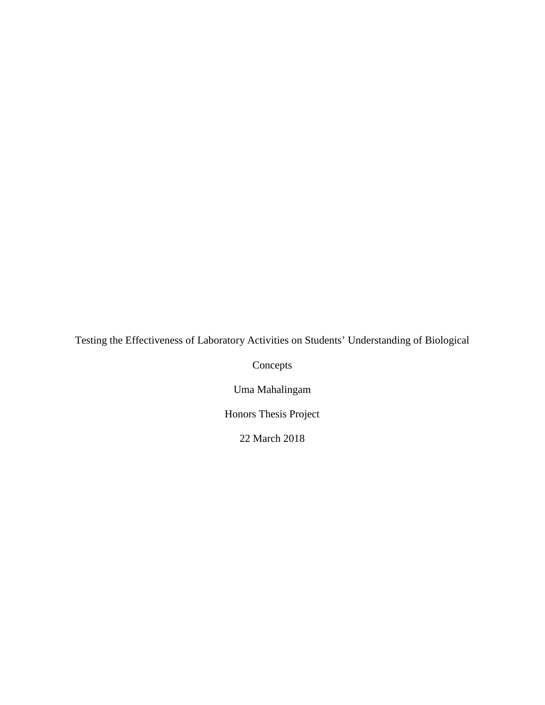Testing the Effectiveness of Laboratory Activities on Students' Understanding of Biological

Concepts

Uma Mahalingam

Honors Thesis Project

22 March 2018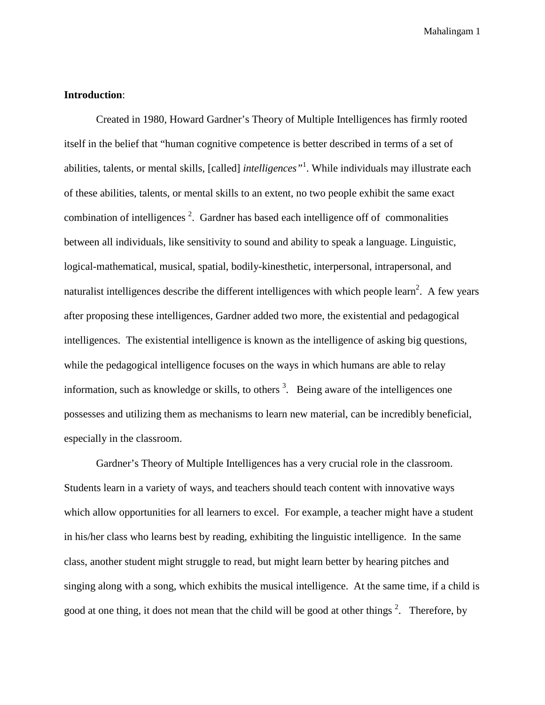### **Introduction**:

Created in 1980, Howard Gardner's Theory of Multiple Intelligences has firmly rooted itself in the belief that "human cognitive competence is better described in terms of a set of abilities, talents, or mental skills, [called] *intelligences"*<sup>1</sup> . While individuals may illustrate each of these abilities, talents, or mental skills to an extent, no two people exhibit the same exact combination of intelligences<sup>2</sup>. Gardner has based each intelligence off of commonalities between all individuals, like sensitivity to sound and ability to speak a language. Linguistic, logical-mathematical, musical, spatial, bodily-kinesthetic, interpersonal, intrapersonal, and naturalist intelligences describe the different intelligences with which people learn<sup>2</sup>. A few years after proposing these intelligences, Gardner added two more, the existential and pedagogical intelligences. The existential intelligence is known as the intelligence of asking big questions, while the pedagogical intelligence focuses on the ways in which humans are able to relay information, such as knowledge or skills, to others  $3$ . Being aware of the intelligences one possesses and utilizing them as mechanisms to learn new material, can be incredibly beneficial, especially in the classroom.

Gardner's Theory of Multiple Intelligences has a very crucial role in the classroom. Students learn in a variety of ways, and teachers should teach content with innovative ways which allow opportunities for all learners to excel. For example, a teacher might have a student in his/her class who learns best by reading, exhibiting the linguistic intelligence. In the same class, another student might struggle to read, but might learn better by hearing pitches and singing along with a song, which exhibits the musical intelligence. At the same time, if a child is good at one thing, it does not mean that the child will be good at other things  $2$ . Therefore, by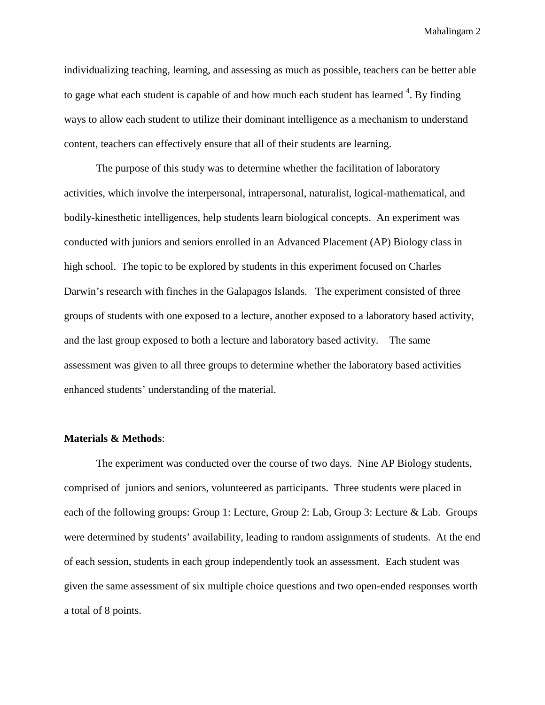individualizing teaching, learning, and assessing as much as possible, teachers can be better able to gage what each student is capable of and how much each student has learned  $4$ . By finding ways to allow each student to utilize their dominant intelligence as a mechanism to understand content, teachers can effectively ensure that all of their students are learning.

The purpose of this study was to determine whether the facilitation of laboratory activities, which involve the interpersonal, intrapersonal, naturalist, logical-mathematical, and bodily-kinesthetic intelligences, help students learn biological concepts. An experiment was conducted with juniors and seniors enrolled in an Advanced Placement (AP) Biology class in high school. The topic to be explored by students in this experiment focused on Charles Darwin's research with finches in the Galapagos Islands. The experiment consisted of three groups of students with one exposed to a lecture, another exposed to a laboratory based activity, and the last group exposed to both a lecture and laboratory based activity. The same assessment was given to all three groups to determine whether the laboratory based activities enhanced students' understanding of the material.

### **Materials & Methods**:

The experiment was conducted over the course of two days. Nine AP Biology students, comprised of juniors and seniors, volunteered as participants. Three students were placed in each of the following groups: Group 1: Lecture, Group 2: Lab, Group 3: Lecture & Lab. Groups were determined by students' availability, leading to random assignments of students. At the end of each session, students in each group independently took an assessment. Each student was given the same assessment of six multiple choice questions and two open-ended responses worth a total of 8 points.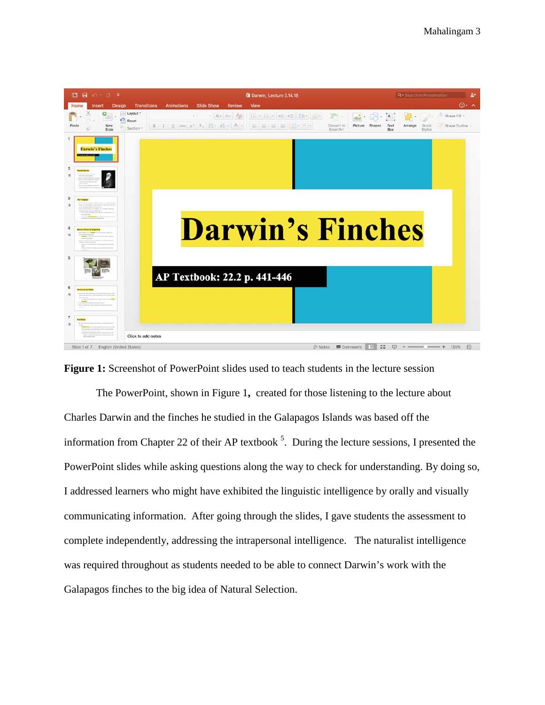

**Figure 1:** Screenshot of PowerPoint slides used to teach students in the lecture session

The PowerPoint, shown in Figure 1**,** created for those listening to the lecture about Charles Darwin and the finches he studied in the Galapagos Islands was based off the information from Chapter 22 of their AP textbook  $5$ . During the lecture sessions, I presented the PowerPoint slides while asking questions along the way to check for understanding. By doing so, I addressed learners who might have exhibited the linguistic intelligence by orally and visually communicating information. After going through the slides, I gave students the assessment to complete independently, addressing the intrapersonal intelligence. The naturalist intelligence was required throughout as students needed to be able to connect Darwin's work with the Galapagos finches to the big idea of Natural Selection.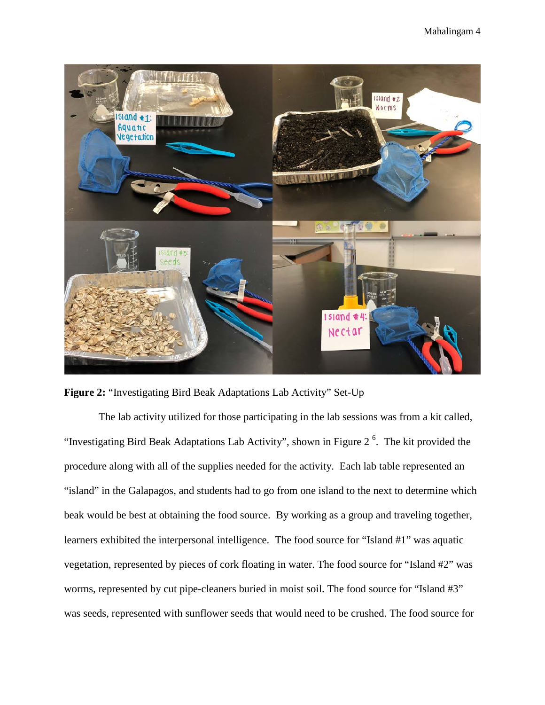

**Figure 2:** "Investigating Bird Beak Adaptations Lab Activity" Set-Up

The lab activity utilized for those participating in the lab sessions was from a kit called, "Investigating Bird Beak Adaptations Lab Activity", shown in Figure  $2<sup>6</sup>$ . The kit provided the procedure along with all of the supplies needed for the activity. Each lab table represented an "island" in the Galapagos, and students had to go from one island to the next to determine which beak would be best at obtaining the food source. By working as a group and traveling together, learners exhibited the interpersonal intelligence. The food source for "Island #1" was aquatic vegetation, represented by pieces of cork floating in water. The food source for "Island #2" was worms, represented by cut pipe-cleaners buried in moist soil. The food source for "Island #3" was seeds, represented with sunflower seeds that would need to be crushed. The food source for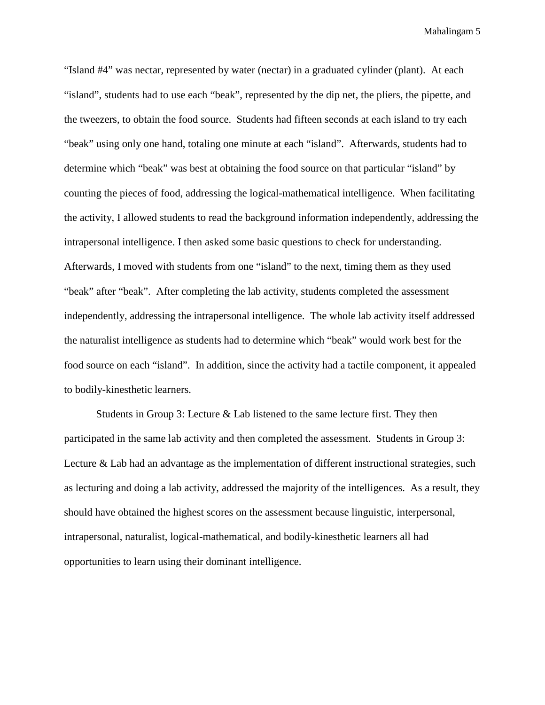"Island #4" was nectar, represented by water (nectar) in a graduated cylinder (plant). At each "island", students had to use each "beak", represented by the dip net, the pliers, the pipette, and the tweezers, to obtain the food source. Students had fifteen seconds at each island to try each "beak" using only one hand, totaling one minute at each "island". Afterwards, students had to determine which "beak" was best at obtaining the food source on that particular "island" by counting the pieces of food, addressing the logical-mathematical intelligence. When facilitating the activity, I allowed students to read the background information independently, addressing the intrapersonal intelligence. I then asked some basic questions to check for understanding. Afterwards, I moved with students from one "island" to the next, timing them as they used "beak" after "beak". After completing the lab activity, students completed the assessment independently, addressing the intrapersonal intelligence. The whole lab activity itself addressed the naturalist intelligence as students had to determine which "beak" would work best for the food source on each "island". In addition, since the activity had a tactile component, it appealed to bodily-kinesthetic learners.

Students in Group 3: Lecture & Lab listened to the same lecture first. They then participated in the same lab activity and then completed the assessment. Students in Group 3: Lecture & Lab had an advantage as the implementation of different instructional strategies, such as lecturing and doing a lab activity, addressed the majority of the intelligences. As a result, they should have obtained the highest scores on the assessment because linguistic, interpersonal, intrapersonal, naturalist, logical-mathematical, and bodily-kinesthetic learners all had opportunities to learn using their dominant intelligence.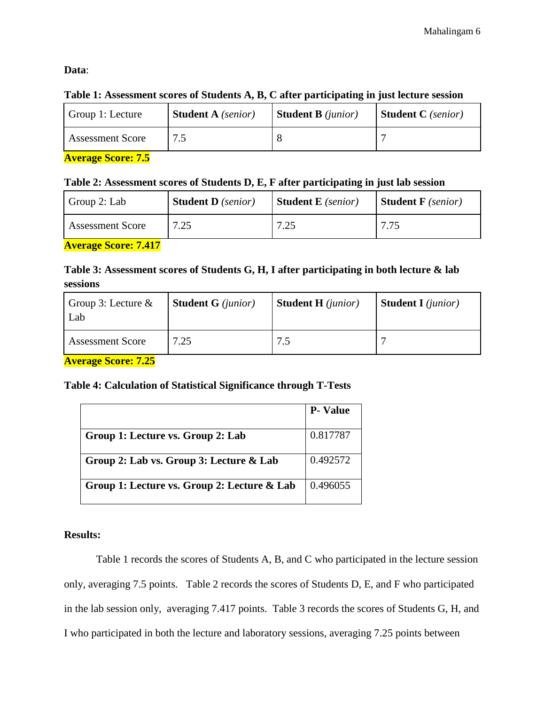# **Data**:

# **Table 1: Assessment scores of Students A, B, C after participating in just lecture session**

| <b>Student A</b> (senior)<br>Group 1: Lecture | <b>Student B</b> ( <i>junior</i> ) | <b>Student C</b> (senior) |
|-----------------------------------------------|------------------------------------|---------------------------|
| <b>Assessment Score</b>                       |                                    |                           |

**Average Score: 7.5**

### **Table 2: Assessment scores of Students D, E, F after participating in just lab session**

| Group 2: Lab            | <b>Student D</b> (senior) | <b>Student E</b> (senior) | <b>Student F</b> (senior) |
|-------------------------|---------------------------|---------------------------|---------------------------|
| <b>Assessment Score</b> | 7.25                      | 7.25                      | 7.75                      |

**Average Score: 7.417**

# **Table 3: Assessment scores of Students G, H, I after participating in both lecture & lab sessions**

| Group 3: Lecture $\&$<br>Lab | <b>Student G</b> ( <i>junior</i> ) | <b>Student H</b> ( <i>junior</i> ) | <b>Student I</b> ( <i>junior</i> ) |
|------------------------------|------------------------------------|------------------------------------|------------------------------------|
| <b>Assessment Score</b>      | 7.25                               |                                    |                                    |

**Average Score: 7.25**

# **Table 4: Calculation of Statistical Significance through T-Tests**

|                                             | <b>P-Value</b> |
|---------------------------------------------|----------------|
| Group 1: Lecture vs. Group 2: Lab           | 0.817787       |
| Group 2: Lab vs. Group 3: Lecture & Lab     | 0.492572       |
| Group 1: Lecture vs. Group 2: Lecture & Lab | 0.496055       |

# **Results:**

Table 1 records the scores of Students A, B, and C who participated in the lecture session only, averaging 7.5 points. Table 2 records the scores of Students D, E, and F who participated in the lab session only, averaging 7.417 points. Table 3 records the scores of Students G, H, and I who participated in both the lecture and laboratory sessions, averaging 7.25 points between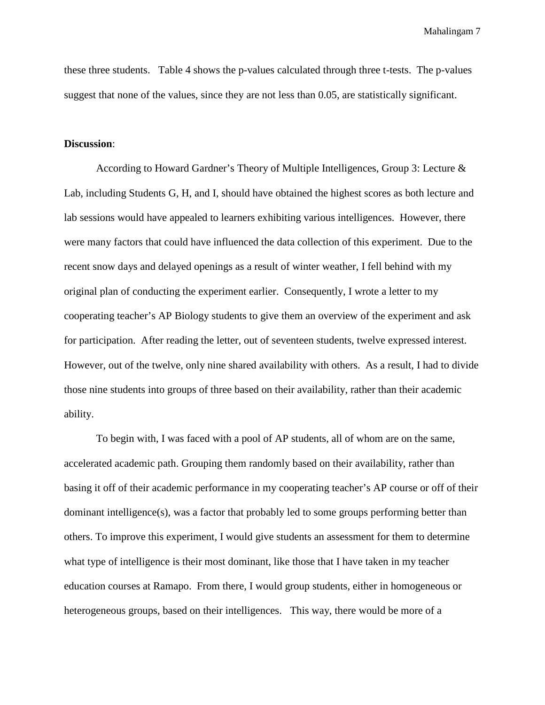these three students. Table 4 shows the p-values calculated through three t-tests. The p-values suggest that none of the values, since they are not less than 0.05, are statistically significant.

#### **Discussion**:

According to Howard Gardner's Theory of Multiple Intelligences, Group 3: Lecture & Lab, including Students G, H, and I, should have obtained the highest scores as both lecture and lab sessions would have appealed to learners exhibiting various intelligences. However, there were many factors that could have influenced the data collection of this experiment. Due to the recent snow days and delayed openings as a result of winter weather, I fell behind with my original plan of conducting the experiment earlier. Consequently, I wrote a letter to my cooperating teacher's AP Biology students to give them an overview of the experiment and ask for participation. After reading the letter, out of seventeen students, twelve expressed interest. However, out of the twelve, only nine shared availability with others. As a result, I had to divide those nine students into groups of three based on their availability, rather than their academic ability.

To begin with, I was faced with a pool of AP students, all of whom are on the same, accelerated academic path. Grouping them randomly based on their availability, rather than basing it off of their academic performance in my cooperating teacher's AP course or off of their dominant intelligence(s), was a factor that probably led to some groups performing better than others. To improve this experiment, I would give students an assessment for them to determine what type of intelligence is their most dominant, like those that I have taken in my teacher education courses at Ramapo. From there, I would group students, either in homogeneous or heterogeneous groups, based on their intelligences. This way, there would be more of a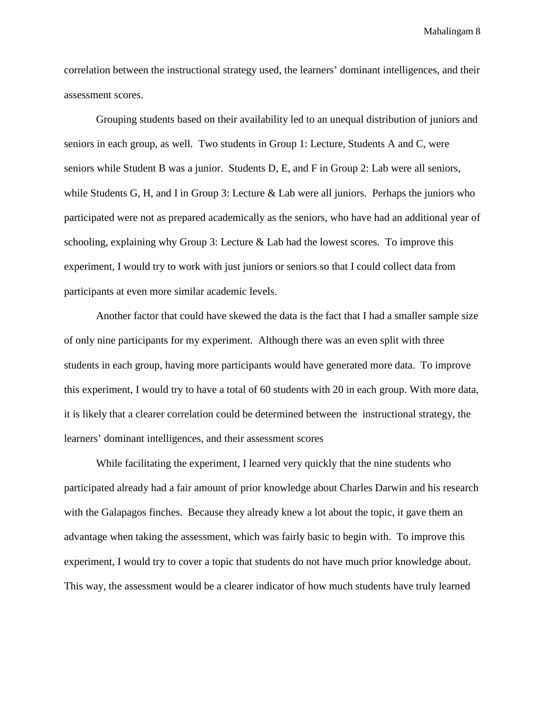correlation between the instructional strategy used, the learners' dominant intelligences, and their assessment scores.

Grouping students based on their availability led to an unequal distribution of juniors and seniors in each group, as well. Two students in Group 1: Lecture, Students A and C, were seniors while Student B was a junior. Students D, E, and F in Group 2: Lab were all seniors, while Students G, H, and I in Group 3: Lecture & Lab were all juniors. Perhaps the juniors who participated were not as prepared academically as the seniors, who have had an additional year of schooling, explaining why Group 3: Lecture & Lab had the lowest scores. To improve this experiment, I would try to work with just juniors or seniors so that I could collect data from participants at even more similar academic levels.

Another factor that could have skewed the data is the fact that I had a smaller sample size of only nine participants for my experiment. Although there was an even split with three students in each group, having more participants would have generated more data. To improve this experiment, I would try to have a total of 60 students with 20 in each group. With more data, it is likely that a clearer correlation could be determined between the instructional strategy, the learners' dominant intelligences, and their assessment scores

While facilitating the experiment, I learned very quickly that the nine students who participated already had a fair amount of prior knowledge about Charles Darwin and his research with the Galapagos finches. Because they already knew a lot about the topic, it gave them an advantage when taking the assessment, which was fairly basic to begin with. To improve this experiment, I would try to cover a topic that students do not have much prior knowledge about. This way, the assessment would be a clearer indicator of how much students have truly learned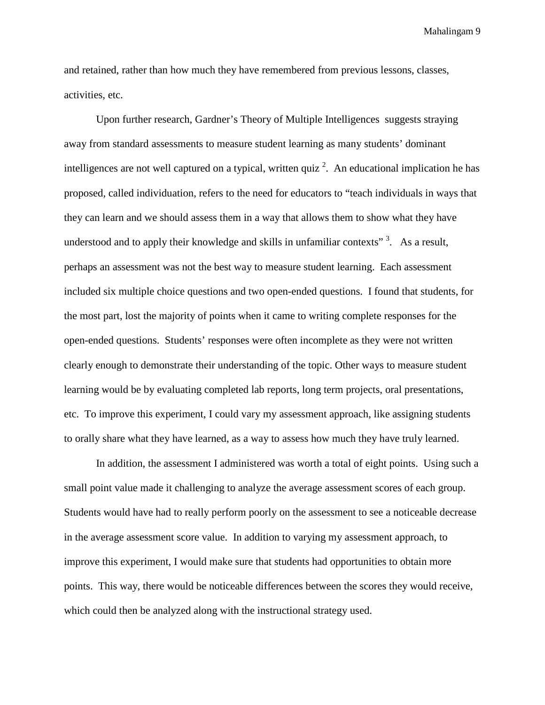and retained, rather than how much they have remembered from previous lessons, classes, activities, etc.

Upon further research, Gardner's Theory of Multiple Intelligences suggests straying away from standard assessments to measure student learning as many students' dominant intelligences are not well captured on a typical, written quiz  $2$ . An educational implication he has proposed, called individuation, refers to the need for educators to "teach individuals in ways that they can learn and we should assess them in a way that allows them to show what they have understood and to apply their knowledge and skills in unfamiliar contexts"<sup>3</sup>. As a result, perhaps an assessment was not the best way to measure student learning. Each assessment included six multiple choice questions and two open-ended questions. I found that students, for the most part, lost the majority of points when it came to writing complete responses for the open-ended questions. Students' responses were often incomplete as they were not written clearly enough to demonstrate their understanding of the topic. Other ways to measure student learning would be by evaluating completed lab reports, long term projects, oral presentations, etc. To improve this experiment, I could vary my assessment approach, like assigning students to orally share what they have learned, as a way to assess how much they have truly learned.

In addition, the assessment I administered was worth a total of eight points. Using such a small point value made it challenging to analyze the average assessment scores of each group. Students would have had to really perform poorly on the assessment to see a noticeable decrease in the average assessment score value. In addition to varying my assessment approach, to improve this experiment, I would make sure that students had opportunities to obtain more points. This way, there would be noticeable differences between the scores they would receive, which could then be analyzed along with the instructional strategy used.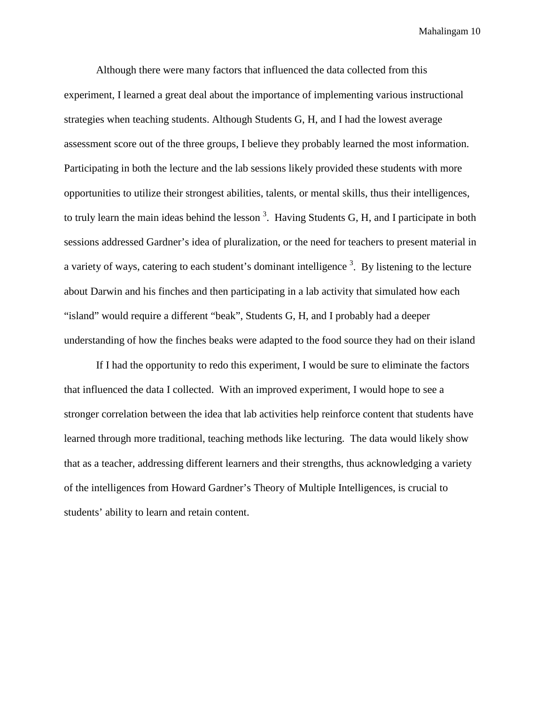Although there were many factors that influenced the data collected from this experiment, I learned a great deal about the importance of implementing various instructional strategies when teaching students. Although Students G, H, and I had the lowest average assessment score out of the three groups, I believe they probably learned the most information. Participating in both the lecture and the lab sessions likely provided these students with more opportunities to utilize their strongest abilities, talents, or mental skills, thus their intelligences, to truly learn the main ideas behind the lesson<sup>3</sup>. Having Students G, H, and I participate in both sessions addressed Gardner's idea of pluralization, or the need for teachers to present material in a variety of ways, catering to each student's dominant intelligence<sup>3</sup>. By listening to the lecture about Darwin and his finches and then participating in a lab activity that simulated how each "island" would require a different "beak", Students G, H, and I probably had a deeper understanding of how the finches beaks were adapted to the food source they had on their island

If I had the opportunity to redo this experiment, I would be sure to eliminate the factors that influenced the data I collected. With an improved experiment, I would hope to see a stronger correlation between the idea that lab activities help reinforce content that students have learned through more traditional, teaching methods like lecturing. The data would likely show that as a teacher, addressing different learners and their strengths, thus acknowledging a variety of the intelligences from Howard Gardner's Theory of Multiple Intelligences, is crucial to students' ability to learn and retain content.